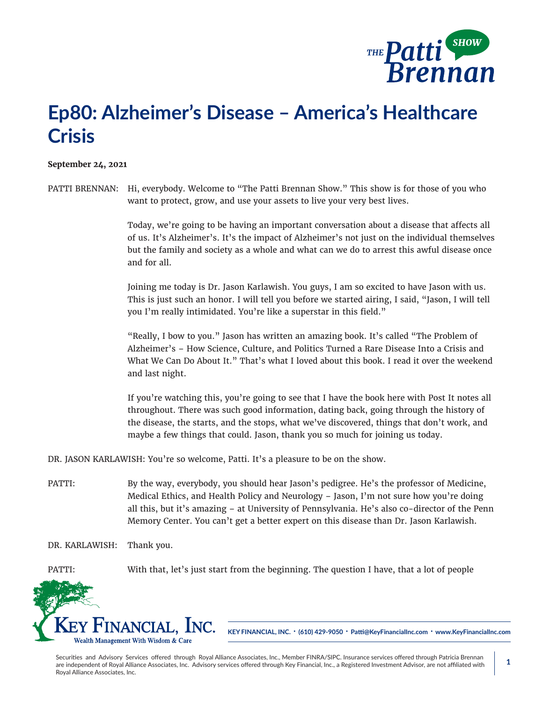

## **Ep80: Alzheimer's Disease – America's Healthcare Crisis**

## **September 24, 2021**

PATTI BRENNAN: Hi, everybody. Welcome to "The Patti Brennan Show." This show is for those of you who want to protect, grow, and use your assets to live your very best lives.

> Today, we're going to be having an important conversation about a disease that affects all of us. It's Alzheimer's. It's the impact of Alzheimer's not just on the individual themselves but the family and society as a whole and what can we do to arrest this awful disease once and for all.

Joining me today is Dr. Jason Karlawish. You guys, I am so excited to have Jason with us. This is just such an honor. I will tell you before we started airing, I said, "Jason, I will tell you I'm really intimidated. You're like a superstar in this field."

"Really, I bow to you." Jason has written an amazing book. It's called "The Problem of Alzheimer's – How Science, Culture, and Politics Turned a Rare Disease Into a Crisis and What We Can Do About It." That's what I loved about this book. I read it over the weekend and last night.

If you're watching this, you're going to see that I have the book here with Post It notes all throughout. There was such good information, dating back, going through the history of the disease, the starts, and the stops, what we've discovered, things that don't work, and maybe a few things that could. Jason, thank you so much for joining us today.

DR. JASON KARLAWISH: You're so welcome, Patti. It's a pleasure to be on the show.

PATTI: By the way, everybody, you should hear Jason's pedigree. He's the professor of Medicine, Medical Ethics, and Health Policy and Neurology – Jason, I'm not sure how you're doing all this, but it's amazing – at University of Pennsylvania. He's also co-director of the Penn Memory Center. You can't get a better expert on this disease than Dr. Jason Karlawish.

DR. KARLAWISH: Thank you.

PATTI: With that, let's just start from the beginning. The question I have, that a lot of people



**KEY FINANCIAL, INC. • (610) 429-9050 • Patti@KeyFinancialInc.com • www.KeyFinancialInc.com**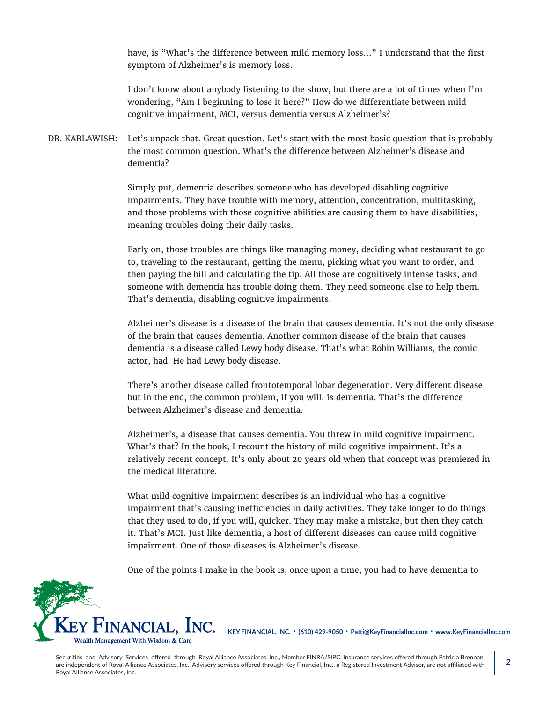have, is "What's the difference between mild memory loss…" I understand that the first symptom of Alzheimer's is memory loss.

I don't know about anybody listening to the show, but there are a lot of times when I'm wondering, "Am I beginning to lose it here?" How do we differentiate between mild cognitive impairment, MCI, versus dementia versus Alzheimer's?

DR. KARLAWISH: Let's unpack that. Great question. Let's start with the most basic question that is probably the most common question. What's the difference between Alzheimer's disease and dementia?

> Simply put, dementia describes someone who has developed disabling cognitive impairments. They have trouble with memory, attention, concentration, multitasking, and those problems with those cognitive abilities are causing them to have disabilities, meaning troubles doing their daily tasks.

Early on, those troubles are things like managing money, deciding what restaurant to go to, traveling to the restaurant, getting the menu, picking what you want to order, and then paying the bill and calculating the tip. All those are cognitively intense tasks, and someone with dementia has trouble doing them. They need someone else to help them. That's dementia, disabling cognitive impairments.

Alzheimer's disease is a disease of the brain that causes dementia. It's not the only disease of the brain that causes dementia. Another common disease of the brain that causes dementia is a disease called Lewy body disease. That's what Robin Williams, the comic actor, had. He had Lewy body disease.

There's another disease called frontotemporal lobar degeneration. Very different disease but in the end, the common problem, if you will, is dementia. That's the difference between Alzheimer's disease and dementia.

Alzheimer's, a disease that causes dementia. You threw in mild cognitive impairment. What's that? In the book, I recount the history of mild cognitive impairment. It's a relatively recent concept. It's only about 20 years old when that concept was premiered in the medical literature.

What mild cognitive impairment describes is an individual who has a cognitive impairment that's causing inefficiencies in daily activities. They take longer to do things that they used to do, if you will, quicker. They may make a mistake, but then they catch it. That's MCI. Just like dementia, a host of different diseases can cause mild cognitive impairment. One of those diseases is Alzheimer's disease.

One of the points I make in the book is, once upon a time, you had to have dementia to



**KEY FINANCIAL, INC. • (610) 429-9050 • Patti@KeyFinancialInc.com • www.KeyFinancialInc.com**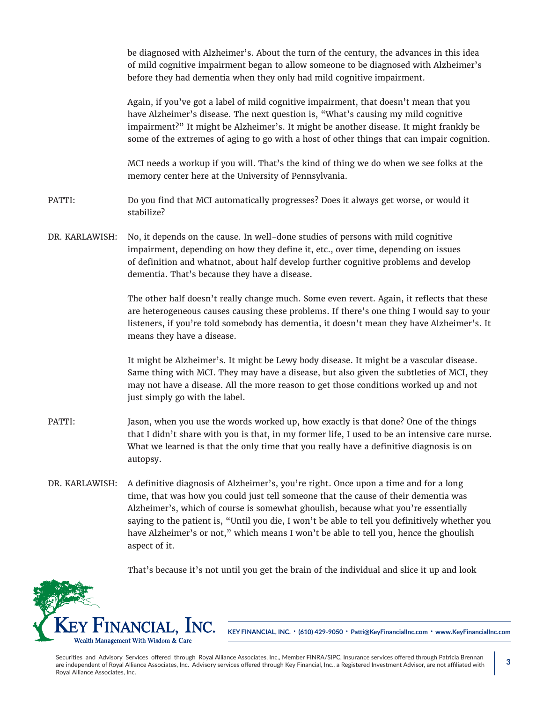be diagnosed with Alzheimer's. About the turn of the century, the advances in this idea of mild cognitive impairment began to allow someone to be diagnosed with Alzheimer's before they had dementia when they only had mild cognitive impairment.

Again, if you've got a label of mild cognitive impairment, that doesn't mean that you have Alzheimer's disease. The next question is, "What's causing my mild cognitive impairment?" It might be Alzheimer's. It might be another disease. It might frankly be some of the extremes of aging to go with a host of other things that can impair cognition.

MCI needs a workup if you will. That's the kind of thing we do when we see folks at the memory center here at the University of Pennsylvania.

- PATTI: Do you find that MCI automatically progresses? Does it always get worse, or would it stabilize?
- DR. KARLAWISH: No, it depends on the cause. In well-done studies of persons with mild cognitive impairment, depending on how they define it, etc., over time, depending on issues of definition and whatnot, about half develop further cognitive problems and develop dementia. That's because they have a disease.

The other half doesn't really change much. Some even revert. Again, it reflects that these are heterogeneous causes causing these problems. If there's one thing I would say to your listeners, if you're told somebody has dementia, it doesn't mean they have Alzheimer's. It means they have a disease.

It might be Alzheimer's. It might be Lewy body disease. It might be a vascular disease. Same thing with MCI. They may have a disease, but also given the subtleties of MCI, they may not have a disease. All the more reason to get those conditions worked up and not just simply go with the label.

- PATTI: Jason, when you use the words worked up, how exactly is that done? One of the things that I didn't share with you is that, in my former life, I used to be an intensive care nurse. What we learned is that the only time that you really have a definitive diagnosis is on autopsy.
- DR. KARLAWISH: A definitive diagnosis of Alzheimer's, you're right. Once upon a time and for a long time, that was how you could just tell someone that the cause of their dementia was Alzheimer's, which of course is somewhat ghoulish, because what you're essentially saying to the patient is, "Until you die, I won't be able to tell you definitively whether you have Alzheimer's or not," which means I won't be able to tell you, hence the ghoulish aspect of it.

That's because it's not until you get the brain of the individual and slice it up and look



**KEY FINANCIAL, INC. • (610) 429-9050 • Patti@KeyFinancialInc.com • www.KeyFinancialInc.com**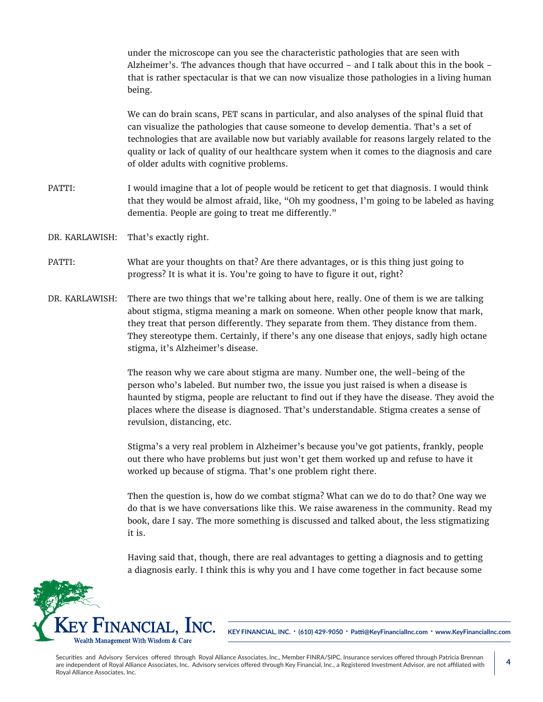under the microscope can you see the characteristic pathologies that are seen with Alzheimer's. The advances though that have occurred – and I talk about this in the book – that is rather spectacular is that we can now visualize those pathologies in a living human being.

We can do brain scans, PET scans in particular, and also analyses of the spinal fluid that can visualize the pathologies that cause someone to develop dementia. That's a set of technologies that are available now but variably available for reasons largely related to the quality or lack of quality of our healthcare system when it comes to the diagnosis and care of older adults with cognitive problems.

- PATTI: I would imagine that a lot of people would be reticent to get that diagnosis. I would think that they would be almost afraid, like, "Oh my goodness, I'm going to be labeled as having dementia. People are going to treat me differently."
- DR. KARLAWISH: That's exactly right.
- PATTI: What are your thoughts on that? Are there advantages, or is this thing just going to progress? It is what it is. You're going to have to figure it out, right?
- DR. KARLAWISH: There are two things that we're talking about here, really. One of them is we are talking about stigma, stigma meaning a mark on someone. When other people know that mark, they treat that person differently. They separate from them. They distance from them. They stereotype them. Certainly, if there's any one disease that enjoys, sadly high octane stigma, it's Alzheimer's disease.

The reason why we care about stigma are many. Number one, the well-being of the person who's labeled. But number two, the issue you just raised is when a disease is haunted by stigma, people are reluctant to find out if they have the disease. They avoid the places where the disease is diagnosed. That's understandable. Stigma creates a sense of revulsion, distancing, etc.

Stigma's a very real problem in Alzheimer's because you've got patients, frankly, people out there who have problems but just won't get them worked up and refuse to have it worked up because of stigma. That's one problem right there.

Then the question is, how do we combat stigma? What can we do to do that? One way we do that is we have conversations like this. We raise awareness in the community. Read my book, dare I say. The more something is discussed and talked about, the less stigmatizing it is.

Having said that, though, there are real advantages to getting a diagnosis and to getting a diagnosis early. I think this is why you and I have come together in fact because some



**KEY FINANCIAL, INC. • (610) 429-9050 • Patti@KeyFinancialInc.com • www.KeyFinancialInc.com**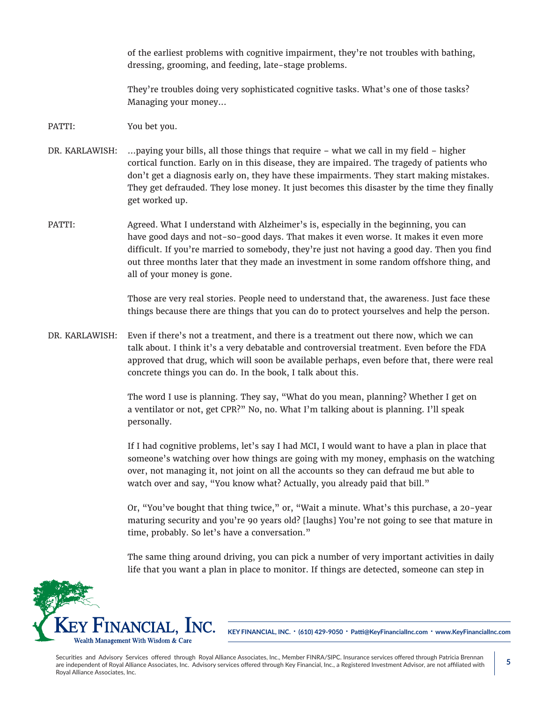of the earliest problems with cognitive impairment, they're not troubles with bathing, dressing, grooming, and feeding, late-stage problems.

They're troubles doing very sophisticated cognitive tasks. What's one of those tasks? Managing your money...

- PATTI: You bet you.
- DR. KARLAWISH: ... paying your bills, all those things that require what we call in my field higher cortical function. Early on in this disease, they are impaired. The tragedy of patients who don't get a diagnosis early on, they have these impairments. They start making mistakes. They get defrauded. They lose money. It just becomes this disaster by the time they finally get worked up.
- PATTI: Agreed. What I understand with Alzheimer's is, especially in the beginning, you can have good days and not-so-good days. That makes it even worse. It makes it even more difficult. If you're married to somebody, they're just not having a good day. Then you find out three months later that they made an investment in some random offshore thing, and all of your money is gone.

Those are very real stories. People need to understand that, the awareness. Just face these things because there are things that you can do to protect yourselves and help the person.

DR. KARLAWISH: Even if there's not a treatment, and there is a treatment out there now, which we can talk about. I think it's a very debatable and controversial treatment. Even before the FDA approved that drug, which will soon be available perhaps, even before that, there were real concrete things you can do. In the book, I talk about this.

> The word I use is planning. They say, "What do you mean, planning? Whether I get on a ventilator or not, get CPR?" No, no. What I'm talking about is planning. I'll speak personally.

If I had cognitive problems, let's say I had MCI, I would want to have a plan in place that someone's watching over how things are going with my money, emphasis on the watching over, not managing it, not joint on all the accounts so they can defraud me but able to watch over and say, "You know what? Actually, you already paid that bill."

Or, "You've bought that thing twice," or, "Wait a minute. What's this purchase, a 20-year maturing security and you're 90 years old? [laughs] You're not going to see that mature in time, probably. So let's have a conversation."

The same thing around driving, you can pick a number of very important activities in daily life that you want a plan in place to monitor. If things are detected, someone can step in



**KEY FINANCIAL, INC. • (610) 429-9050 • Patti@KeyFinancialInc.com • www.KeyFinancialInc.com**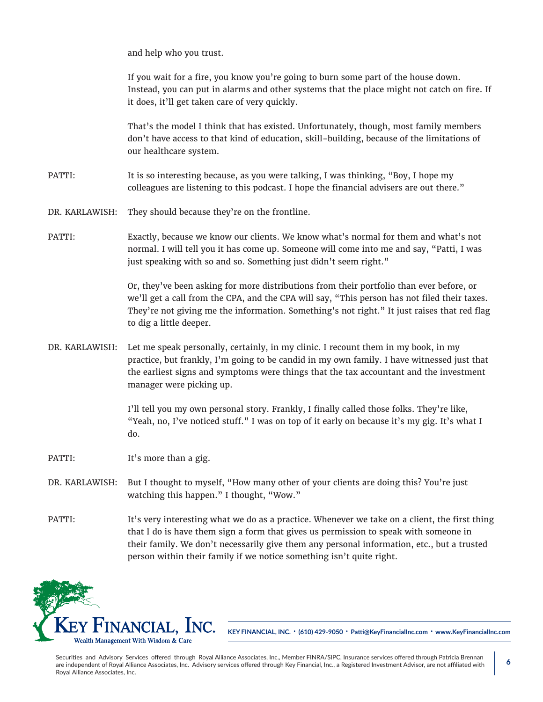and help who you trust.

If you wait for a fire, you know you're going to burn some part of the house down. Instead, you can put in alarms and other systems that the place might not catch on fire. If it does, it'll get taken care of very quickly.

That's the model I think that has existed. Unfortunately, though, most family members don't have access to that kind of education, skill-building, because of the limitations of our healthcare system.

- PATTI: It is so interesting because, as you were talking, I was thinking, "Boy, I hope my colleagues are listening to this podcast. I hope the financial advisers are out there."
- DR. KARLAWISH: They should because they're on the frontline.
- PATTI: Exactly, because we know our clients. We know what's normal for them and what's not normal. I will tell you it has come up. Someone will come into me and say, "Patti, I was just speaking with so and so. Something just didn't seem right."

Or, they've been asking for more distributions from their portfolio than ever before, or we'll get a call from the CPA, and the CPA will say, "This person has not filed their taxes. They're not giving me the information. Something's not right." It just raises that red flag to dig a little deeper.

DR. KARLAWISH: Let me speak personally, certainly, in my clinic. I recount them in my book, in my practice, but frankly, I'm going to be candid in my own family. I have witnessed just that the earliest signs and symptoms were things that the tax accountant and the investment manager were picking up.

> I'll tell you my own personal story. Frankly, I finally called those folks. They're like, "Yeah, no, I've noticed stuff." I was on top of it early on because it's my gig. It's what I do.

- PATTI: It's more than a gig.
- DR. KARLAWISH: But I thought to myself, "How many other of your clients are doing this? You're just watching this happen." I thought, "Wow."
- PATTI: It's very interesting what we do as a practice. Whenever we take on a client, the first thing that I do is have them sign a form that gives us permission to speak with someone in their family. We don't necessarily give them any personal information, etc., but a trusted person within their family if we notice something isn't quite right.



**KEY FINANCIAL, INC. • (610) 429-9050 • Patti@KeyFinancialInc.com • www.KeyFinancialInc.com**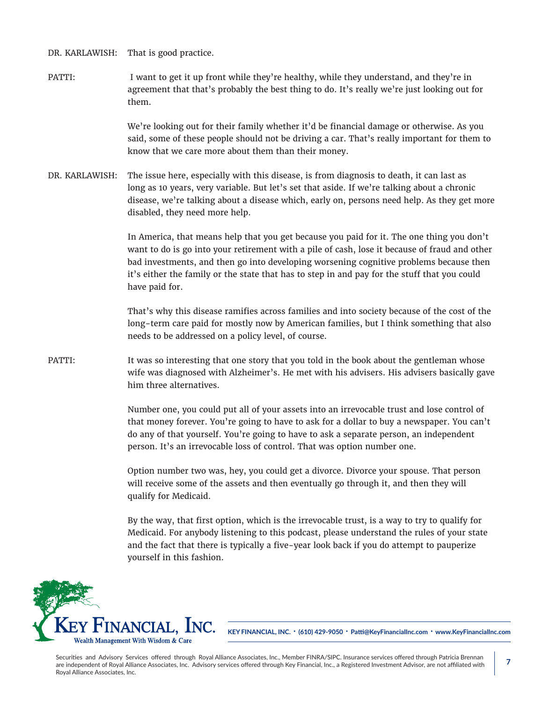DR. KARLAWISH: That is good practice.

PATTI: I want to get it up front while they're healthy, while they understand, and they're in agreement that that's probably the best thing to do. It's really we're just looking out for them.

> We're looking out for their family whether it'd be financial damage or otherwise. As you said, some of these people should not be driving a car. That's really important for them to know that we care more about them than their money.

DR. KARLAWISH: The issue here, especially with this disease, is from diagnosis to death, it can last as long as 10 years, very variable. But let's set that aside. If we're talking about a chronic disease, we're talking about a disease which, early on, persons need help. As they get more disabled, they need more help.

> In America, that means help that you get because you paid for it. The one thing you don't want to do is go into your retirement with a pile of cash, lose it because of fraud and other bad investments, and then go into developing worsening cognitive problems because then it's either the family or the state that has to step in and pay for the stuff that you could have paid for.

> That's why this disease ramifies across families and into society because of the cost of the long-term care paid for mostly now by American families, but I think something that also needs to be addressed on a policy level, of course.

PATTI: It was so interesting that one story that you told in the book about the gentleman whose wife was diagnosed with Alzheimer's. He met with his advisers. His advisers basically gave him three alternatives.

> Number one, you could put all of your assets into an irrevocable trust and lose control of that money forever. You're going to have to ask for a dollar to buy a newspaper. You can't do any of that yourself. You're going to have to ask a separate person, an independent person. It's an irrevocable loss of control. That was option number one.

Option number two was, hey, you could get a divorce. Divorce your spouse. That person will receive some of the assets and then eventually go through it, and then they will qualify for Medicaid.

By the way, that first option, which is the irrevocable trust, is a way to try to qualify for Medicaid. For anybody listening to this podcast, please understand the rules of your state and the fact that there is typically a five-year look back if you do attempt to pauperize yourself in this fashion.



**KEY FINANCIAL, INC. • (610) 429-9050 • Patti@KeyFinancialInc.com • www.KeyFinancialInc.com**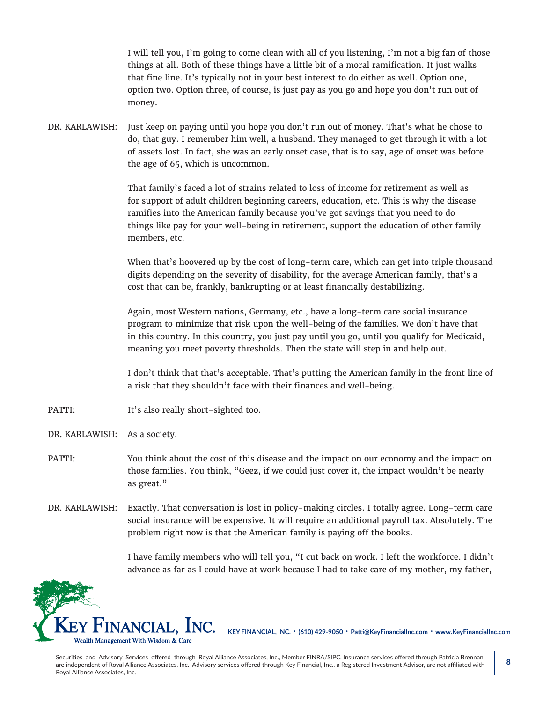I will tell you, I'm going to come clean with all of you listening, I'm not a big fan of those things at all. Both of these things have a little bit of a moral ramification. It just walks that fine line. It's typically not in your best interest to do either as well. Option one, option two. Option three, of course, is just pay as you go and hope you don't run out of money.

DR. KARLAWISH: Just keep on paying until you hope you don't run out of money. That's what he chose to do, that guy. I remember him well, a husband. They managed to get through it with a lot of assets lost. In fact, she was an early onset case, that is to say, age of onset was before the age of 65, which is uncommon.

> That family's faced a lot of strains related to loss of income for retirement as well as for support of adult children beginning careers, education, etc. This is why the disease ramifies into the American family because you've got savings that you need to do things like pay for your well-being in retirement, support the education of other family members, etc.

When that's hoovered up by the cost of long-term care, which can get into triple thousand digits depending on the severity of disability, for the average American family, that's a cost that can be, frankly, bankrupting or at least financially destabilizing.

Again, most Western nations, Germany, etc., have a long-term care social insurance program to minimize that risk upon the well-being of the families. We don't have that in this country. In this country, you just pay until you go, until you qualify for Medicaid, meaning you meet poverty thresholds. Then the state will step in and help out.

I don't think that that's acceptable. That's putting the American family in the front line of a risk that they shouldn't face with their finances and well-being.

- PATTI: It's also really short-sighted too.
- DR. KARLAWISH: As a society.
- PATTI: You think about the cost of this disease and the impact on our economy and the impact on those families. You think, "Geez, if we could just cover it, the impact wouldn't be nearly as great."
- DR. KARLAWISH: Exactly. That conversation is lost in policy-making circles. I totally agree. Long-term care social insurance will be expensive. It will require an additional payroll tax. Absolutely. The problem right now is that the American family is paying off the books.

I have family members who will tell you, "I cut back on work. I left the workforce. I didn't advance as far as I could have at work because I had to take care of my mother, my father,



**KEY FINANCIAL, INC. • (610) 429-9050 • Patti@KeyFinancialInc.com • www.KeyFinancialInc.com**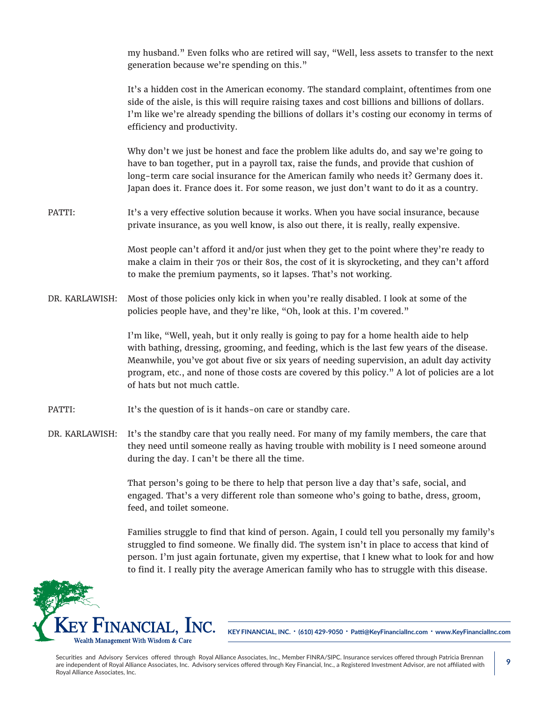my husband." Even folks who are retired will say, "Well, less assets to transfer to the next generation because we're spending on this."

It's a hidden cost in the American economy. The standard complaint, oftentimes from one side of the aisle, is this will require raising taxes and cost billions and billions of dollars. I'm like we're already spending the billions of dollars it's costing our economy in terms of efficiency and productivity.

Why don't we just be honest and face the problem like adults do, and say we're going to have to ban together, put in a payroll tax, raise the funds, and provide that cushion of long-term care social insurance for the American family who needs it? Germany does it. Japan does it. France does it. For some reason, we just don't want to do it as a country.

PATTI: It's a very effective solution because it works. When you have social insurance, because private insurance, as you well know, is also out there, it is really, really expensive.

> Most people can't afford it and/or just when they get to the point where they're ready to make a claim in their 70s or their 80s, the cost of it is skyrocketing, and they can't afford to make the premium payments, so it lapses. That's not working.

DR. KARLAWISH: Most of those policies only kick in when you're really disabled. I look at some of the policies people have, and they're like, "Oh, look at this. I'm covered."

> I'm like, "Well, yeah, but it only really is going to pay for a home health aide to help with bathing, dressing, grooming, and feeding, which is the last few years of the disease. Meanwhile, you've got about five or six years of needing supervision, an adult day activity program, etc., and none of those costs are covered by this policy." A lot of policies are a lot of hats but not much cattle.

- PATTI: It's the question of is it hands-on care or standby care.
- DR. KARLAWISH: It's the standby care that you really need. For many of my family members, the care that they need until someone really as having trouble with mobility is I need someone around during the day. I can't be there all the time.

That person's going to be there to help that person live a day that's safe, social, and engaged. That's a very different role than someone who's going to bathe, dress, groom, feed, and toilet someone.

Families struggle to find that kind of person. Again, I could tell you personally my family's struggled to find someone. We finally did. The system isn't in place to access that kind of person. I'm just again fortunate, given my expertise, that I knew what to look for and how to find it. I really pity the average American family who has to struggle with this disease.



**KEY FINANCIAL, INC. • (610) 429-9050 • Patti@KeyFinancialInc.com • www.KeyFinancialInc.com**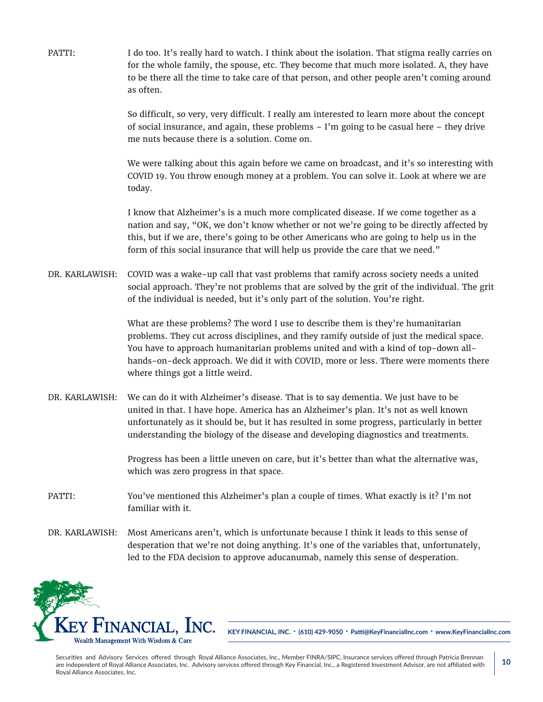PATTI: I do too. It's really hard to watch. I think about the isolation. That stigma really carries on for the whole family, the spouse, etc. They become that much more isolated. A, they have to be there all the time to take care of that person, and other people aren't coming around as often.

> So difficult, so very, very difficult. I really am interested to learn more about the concept of social insurance, and again, these problems – I'm going to be casual here – they drive me nuts because there is a solution. Come on.

We were talking about this again before we came on broadcast, and it's so interesting with COVID 19. You throw enough money at a problem. You can solve it. Look at where we are today.

I know that Alzheimer's is a much more complicated disease. If we come together as a nation and say, "OK, we don't know whether or not we're going to be directly affected by this, but if we are, there's going to be other Americans who are going to help us in the form of this social insurance that will help us provide the care that we need."

DR. KARLAWISH: COVID was a wake-up call that vast problems that ramify across society needs a united social approach. They're not problems that are solved by the grit of the individual. The grit of the individual is needed, but it's only part of the solution. You're right.

> What are these problems? The word I use to describe them is they're humanitarian problems. They cut across disciplines, and they ramify outside of just the medical space. You have to approach humanitarian problems united and with a kind of top-down allhands-on-deck approach. We did it with COVID, more or less. There were moments there where things got a little weird.

DR. KARLAWISH: We can do it with Alzheimer's disease. That is to say dementia. We just have to be united in that. I have hope. America has an Alzheimer's plan. It's not as well known unfortunately as it should be, but it has resulted in some progress, particularly in better understanding the biology of the disease and developing diagnostics and treatments.

> Progress has been a little uneven on care, but it's better than what the alternative was, which was zero progress in that space.

- PATTI: You've mentioned this Alzheimer's plan a couple of times. What exactly is it? I'm not familiar with it.
- DR. KARLAWISH: Most Americans aren't, which is unfortunate because I think it leads to this sense of desperation that we're not doing anything. It's one of the variables that, unfortunately, led to the FDA decision to approve aducanumab, namely this sense of desperation.



**KEY FINANCIAL, INC. • (610) 429-9050 • Patti@KeyFinancialInc.com • www.KeyFinancialInc.com**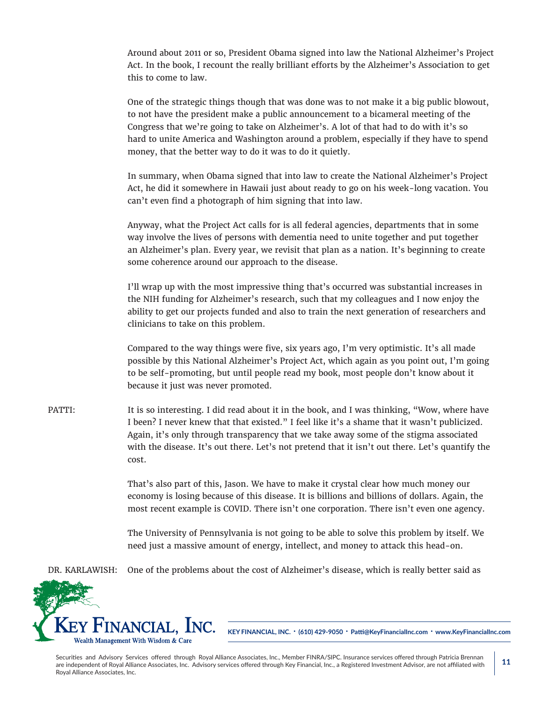Around about 2011 or so, President Obama signed into law the National Alzheimer's Project Act. In the book, I recount the really brilliant efforts by the Alzheimer's Association to get this to come to law.

One of the strategic things though that was done was to not make it a big public blowout, to not have the president make a public announcement to a bicameral meeting of the Congress that we're going to take on Alzheimer's. A lot of that had to do with it's so hard to unite America and Washington around a problem, especially if they have to spend money, that the better way to do it was to do it quietly.

In summary, when Obama signed that into law to create the National Alzheimer's Project Act, he did it somewhere in Hawaii just about ready to go on his week-long vacation. You can't even find a photograph of him signing that into law.

Anyway, what the Project Act calls for is all federal agencies, departments that in some way involve the lives of persons with dementia need to unite together and put together an Alzheimer's plan. Every year, we revisit that plan as a nation. It's beginning to create some coherence around our approach to the disease.

I'll wrap up with the most impressive thing that's occurred was substantial increases in the NIH funding for Alzheimer's research, such that my colleagues and I now enjoy the ability to get our projects funded and also to train the next generation of researchers and clinicians to take on this problem.

Compared to the way things were five, six years ago, I'm very optimistic. It's all made possible by this National Alzheimer's Project Act, which again as you point out, I'm going to be self-promoting, but until people read my book, most people don't know about it because it just was never promoted.

PATTI: It is so interesting. I did read about it in the book, and I was thinking, "Wow, where have I been? I never knew that that existed." I feel like it's a shame that it wasn't publicized. Again, it's only through transparency that we take away some of the stigma associated with the disease. It's out there. Let's not pretend that it isn't out there. Let's quantify the cost.

> That's also part of this, Jason. We have to make it crystal clear how much money our economy is losing because of this disease. It is billions and billions of dollars. Again, the most recent example is COVID. There isn't one corporation. There isn't even one agency.

> The University of Pennsylvania is not going to be able to solve this problem by itself. We need just a massive amount of energy, intellect, and money to attack this head-on.

DR. KARLAWISH: One of the problems about the cost of Alzheimer's disease, which is really better said as



**KEY FINANCIAL, INC. • (610) 429-9050 • Patti@KeyFinancialInc.com • www.KeyFinancialInc.com**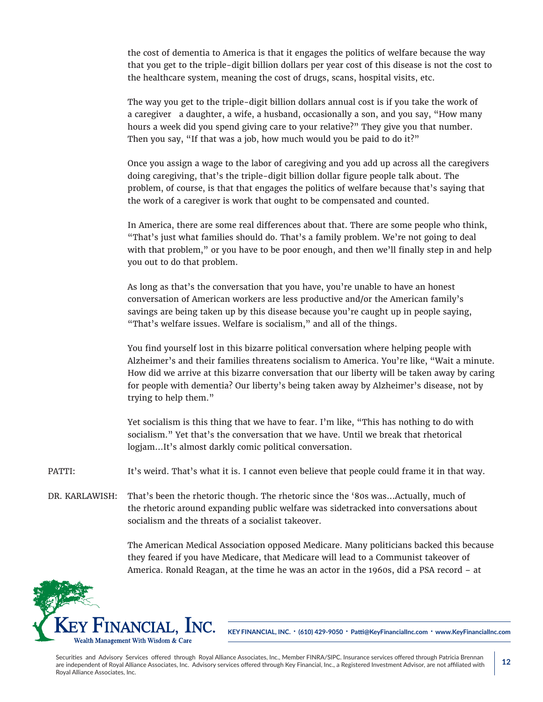the cost of dementia to America is that it engages the politics of welfare because the way that you get to the triple-digit billion dollars per year cost of this disease is not the cost to the healthcare system, meaning the cost of drugs, scans, hospital visits, etc.

The way you get to the triple-digit billion dollars annual cost is if you take the work of a caregiver a daughter, a wife, a husband, occasionally a son, and you say, "How many hours a week did you spend giving care to your relative?" They give you that number. Then you say, "If that was a job, how much would you be paid to do it?"

Once you assign a wage to the labor of caregiving and you add up across all the caregivers doing caregiving, that's the triple-digit billion dollar figure people talk about. The problem, of course, is that that engages the politics of welfare because that's saying that the work of a caregiver is work that ought to be compensated and counted.

In America, there are some real differences about that. There are some people who think, "That's just what families should do. That's a family problem. We're not going to deal with that problem," or you have to be poor enough, and then we'll finally step in and help you out to do that problem.

As long as that's the conversation that you have, you're unable to have an honest conversation of American workers are less productive and/or the American family's savings are being taken up by this disease because you're caught up in people saying, "That's welfare issues. Welfare is socialism," and all of the things.

You find yourself lost in this bizarre political conversation where helping people with Alzheimer's and their families threatens socialism to America. You're like, "Wait a minute. How did we arrive at this bizarre conversation that our liberty will be taken away by caring for people with dementia? Our liberty's being taken away by Alzheimer's disease, not by trying to help them."

Yet socialism is this thing that we have to fear. I'm like, "This has nothing to do with socialism." Yet that's the conversation that we have. Until we break that rhetorical logjam…It's almost darkly comic political conversation.

PATTI: It's weird. That's what it is. I cannot even believe that people could frame it in that way.

DR. KARLAWISH: That's been the rhetoric though. The rhetoric since the '80s was...Actually, much of the rhetoric around expanding public welfare was sidetracked into conversations about socialism and the threats of a socialist takeover.

> The American Medical Association opposed Medicare. Many politicians backed this because they feared if you have Medicare, that Medicare will lead to a Communist takeover of America. Ronald Reagan, at the time he was an actor in the 1960s, did a PSA record – at



**KEY FINANCIAL, INC. • (610) 429-9050 • Patti@KeyFinancialInc.com • www.KeyFinancialInc.com**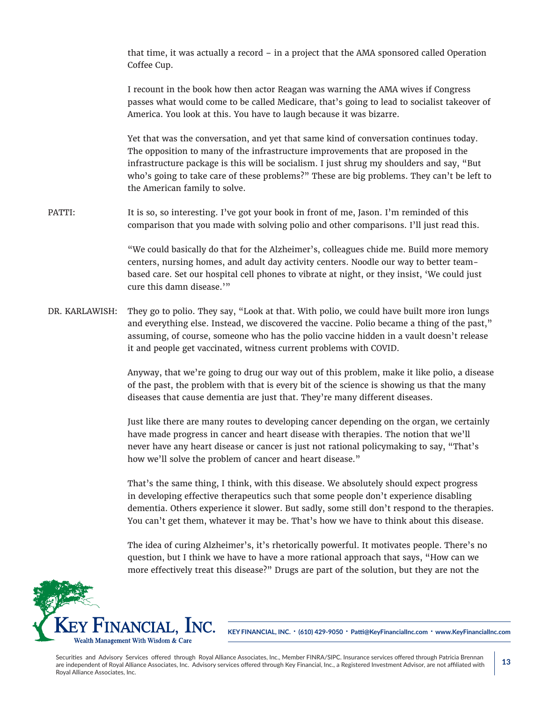that time, it was actually a record – in a project that the AMA sponsored called Operation Coffee Cup.

I recount in the book how then actor Reagan was warning the AMA wives if Congress passes what would come to be called Medicare, that's going to lead to socialist takeover of America. You look at this. You have to laugh because it was bizarre.

Yet that was the conversation, and yet that same kind of conversation continues today. The opposition to many of the infrastructure improvements that are proposed in the infrastructure package is this will be socialism. I just shrug my shoulders and say, "But who's going to take care of these problems?" These are big problems. They can't be left to the American family to solve.

PATTI: It is so, so interesting. I've got your book in front of me, Jason. I'm reminded of this comparison that you made with solving polio and other comparisons. I'll just read this.

> "We could basically do that for the Alzheimer's, colleagues chide me. Build more memory centers, nursing homes, and adult day activity centers. Noodle our way to better teambased care. Set our hospital cell phones to vibrate at night, or they insist, 'We could just cure this damn disease.'"

DR. KARLAWISH: They go to polio. They say, "Look at that. With polio, we could have built more iron lungs and everything else. Instead, we discovered the vaccine. Polio became a thing of the past," assuming, of course, someone who has the polio vaccine hidden in a vault doesn't release it and people get vaccinated, witness current problems with COVID.

> Anyway, that we're going to drug our way out of this problem, make it like polio, a disease of the past, the problem with that is every bit of the science is showing us that the many diseases that cause dementia are just that. They're many different diseases.

> Just like there are many routes to developing cancer depending on the organ, we certainly have made progress in cancer and heart disease with therapies. The notion that we'll never have any heart disease or cancer is just not rational policymaking to say, "That's how we'll solve the problem of cancer and heart disease."

> That's the same thing, I think, with this disease. We absolutely should expect progress in developing effective therapeutics such that some people don't experience disabling dementia. Others experience it slower. But sadly, some still don't respond to the therapies. You can't get them, whatever it may be. That's how we have to think about this disease.

The idea of curing Alzheimer's, it's rhetorically powerful. It motivates people. There's no question, but I think we have to have a more rational approach that says, "How can we more effectively treat this disease?" Drugs are part of the solution, but they are not the



**KEY FINANCIAL, INC. • (610) 429-9050 • Patti@KeyFinancialInc.com • www.KeyFinancialInc.com**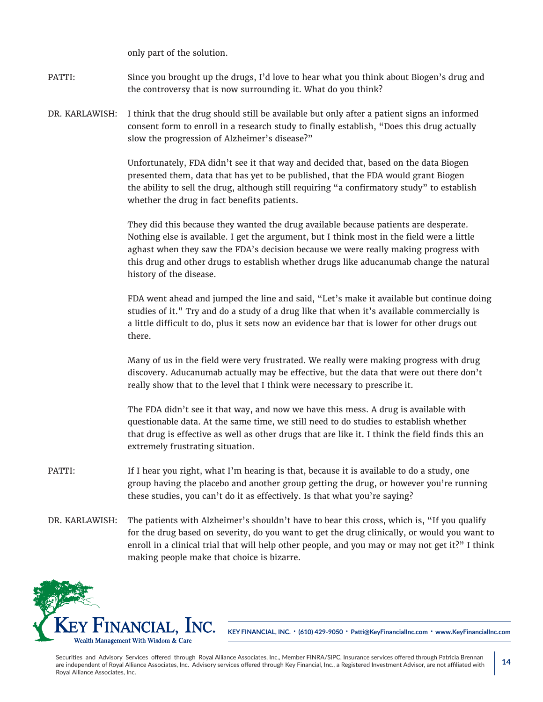only part of the solution.

PATTI: Since you brought up the drugs, I'd love to hear what you think about Biogen's drug and the controversy that is now surrounding it. What do you think?

DR. KARLAWISH: I think that the drug should still be available but only after a patient signs an informed consent form to enroll in a research study to finally establish, "Does this drug actually slow the progression of Alzheimer's disease?"

> Unfortunately, FDA didn't see it that way and decided that, based on the data Biogen presented them, data that has yet to be published, that the FDA would grant Biogen the ability to sell the drug, although still requiring "a confirmatory study" to establish whether the drug in fact benefits patients.

They did this because they wanted the drug available because patients are desperate. Nothing else is available. I get the argument, but I think most in the field were a little aghast when they saw the FDA's decision because we were really making progress with this drug and other drugs to establish whether drugs like aducanumab change the natural history of the disease.

FDA went ahead and jumped the line and said, "Let's make it available but continue doing studies of it." Try and do a study of a drug like that when it's available commercially is a little difficult to do, plus it sets now an evidence bar that is lower for other drugs out there.

Many of us in the field were very frustrated. We really were making progress with drug discovery. Aducanumab actually may be effective, but the data that were out there don't really show that to the level that I think were necessary to prescribe it.

The FDA didn't see it that way, and now we have this mess. A drug is available with questionable data. At the same time, we still need to do studies to establish whether that drug is effective as well as other drugs that are like it. I think the field finds this an extremely frustrating situation.

- PATTI: If I hear you right, what I'm hearing is that, because it is available to do a study, one group having the placebo and another group getting the drug, or however you're running these studies, you can't do it as effectively. Is that what you're saying?
- DR. KARLAWISH: The patients with Alzheimer's shouldn't have to bear this cross, which is, "If you qualify for the drug based on severity, do you want to get the drug clinically, or would you want to enroll in a clinical trial that will help other people, and you may or may not get it?" I think making people make that choice is bizarre.



**KEY FINANCIAL, INC. • (610) 429-9050 • Patti@KeyFinancialInc.com • www.KeyFinancialInc.com**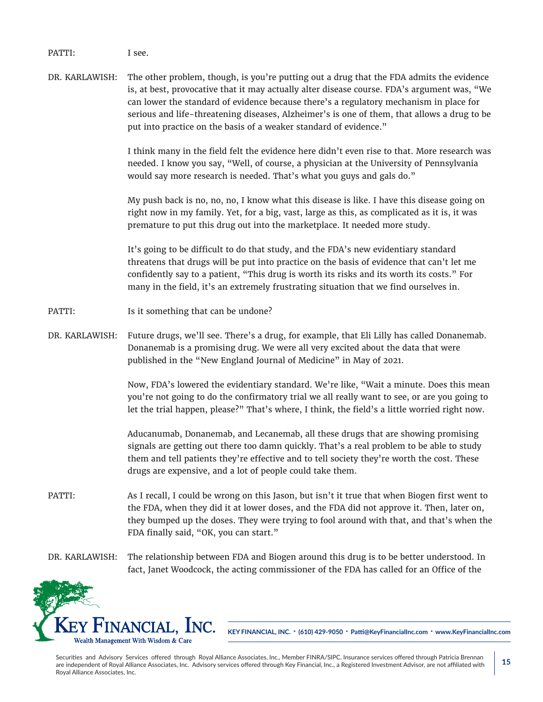PATTI: I see.

DR. KARLAWISH: The other problem, though, is you're putting out a drug that the FDA admits the evidence is, at best, provocative that it may actually alter disease course. FDA's argument was, "We can lower the standard of evidence because there's a regulatory mechanism in place for serious and life-threatening diseases, Alzheimer's is one of them, that allows a drug to be put into practice on the basis of a weaker standard of evidence."

> I think many in the field felt the evidence here didn't even rise to that. More research was needed. I know you say, "Well, of course, a physician at the University of Pennsylvania would say more research is needed. That's what you guys and gals do."

My push back is no, no, no, I know what this disease is like. I have this disease going on right now in my family. Yet, for a big, vast, large as this, as complicated as it is, it was premature to put this drug out into the marketplace. It needed more study.

It's going to be difficult to do that study, and the FDA's new evidentiary standard threatens that drugs will be put into practice on the basis of evidence that can't let me confidently say to a patient, "This drug is worth its risks and its worth its costs." For many in the field, it's an extremely frustrating situation that we find ourselves in.

- PATTI: Is it something that can be undone?
- DR. KARLAWISH: Future drugs, we'll see. There's a drug, for example, that Eli Lilly has called Donanemab. Donanemab is a promising drug. We were all very excited about the data that were published in the "New England Journal of Medicine" in May of 2021.

Now, FDA's lowered the evidentiary standard. We're like, "Wait a minute. Does this mean you're not going to do the confirmatory trial we all really want to see, or are you going to let the trial happen, please?" That's where, I think, the field's a little worried right now.

Aducanumab, Donanemab, and Lecanemab, all these drugs that are showing promising signals are getting out there too damn quickly. That's a real problem to be able to study them and tell patients they're effective and to tell society they're worth the cost. These drugs are expensive, and a lot of people could take them.

- PATTI: As I recall, I could be wrong on this Jason, but isn't it true that when Biogen first went to the FDA, when they did it at lower doses, and the FDA did not approve it. Then, later on, they bumped up the doses. They were trying to fool around with that, and that's when the FDA finally said, "OK, you can start."
- DR. KARLAWISH: The relationship between FDA and Biogen around this drug is to be better understood. In fact, Janet Woodcock, the acting commissioner of the FDA has called for an Office of the



**KEY FINANCIAL, INC. • (610) 429-9050 • Patti@KeyFinancialInc.com • www.KeyFinancialInc.com**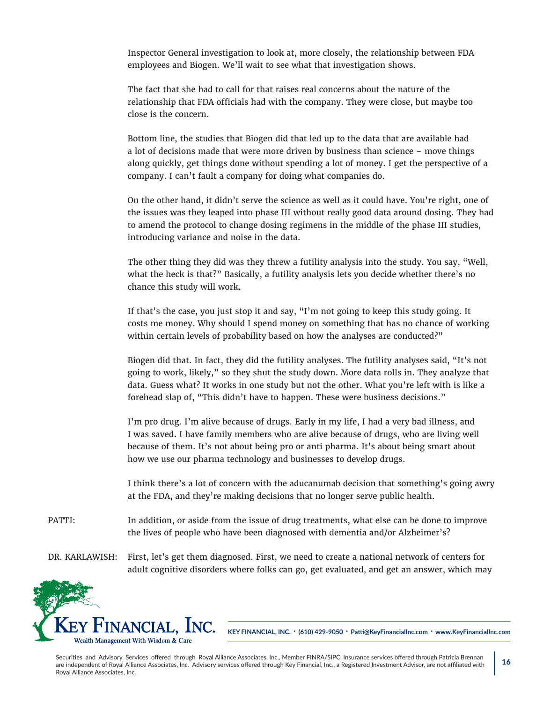Inspector General investigation to look at, more closely, the relationship between FDA employees and Biogen. We'll wait to see what that investigation shows.

The fact that she had to call for that raises real concerns about the nature of the relationship that FDA officials had with the company. They were close, but maybe too close is the concern.

Bottom line, the studies that Biogen did that led up to the data that are available had a lot of decisions made that were more driven by business than science – move things along quickly, get things done without spending a lot of money. I get the perspective of a company. I can't fault a company for doing what companies do.

On the other hand, it didn't serve the science as well as it could have. You're right, one of the issues was they leaped into phase III without really good data around dosing. They had to amend the protocol to change dosing regimens in the middle of the phase III studies, introducing variance and noise in the data.

The other thing they did was they threw a futility analysis into the study. You say, "Well, what the heck is that?" Basically, a futility analysis lets you decide whether there's no chance this study will work.

If that's the case, you just stop it and say, "I'm not going to keep this study going. It costs me money. Why should I spend money on something that has no chance of working within certain levels of probability based on how the analyses are conducted?"

Biogen did that. In fact, they did the futility analyses. The futility analyses said, "It's not going to work, likely," so they shut the study down. More data rolls in. They analyze that data. Guess what? It works in one study but not the other. What you're left with is like a forehead slap of, "This didn't have to happen. These were business decisions."

I'm pro drug. I'm alive because of drugs. Early in my life, I had a very bad illness, and I was saved. I have family members who are alive because of drugs, who are living well because of them. It's not about being pro or anti pharma. It's about being smart about how we use our pharma technology and businesses to develop drugs.

I think there's a lot of concern with the aducanumab decision that something's going awry at the FDA, and they're making decisions that no longer serve public health.

PATTI: In addition, or aside from the issue of drug treatments, what else can be done to improve the lives of people who have been diagnosed with dementia and/or Alzheimer's?

DR. KARLAWISH: First, let's get them diagnosed. First, we need to create a national network of centers for adult cognitive disorders where folks can go, get evaluated, and get an answer, which may



**KEY FINANCIAL, INC. • (610) 429-9050 • Patti@KeyFinancialInc.com • www.KeyFinancialInc.com**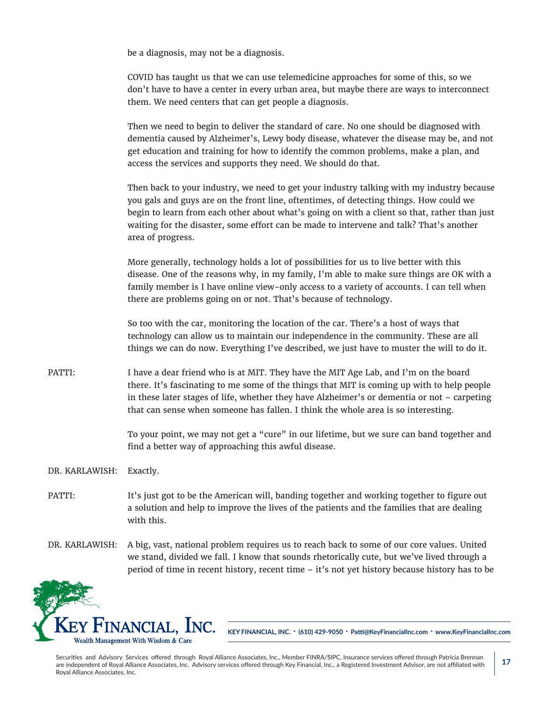be a diagnosis, may not be a diagnosis.

COVID has taught us that we can use telemedicine approaches for some of this, so we don't have to have a center in every urban area, but maybe there are ways to interconnect them. We need centers that can get people a diagnosis.

Then we need to begin to deliver the standard of care. No one should be diagnosed with dementia caused by Alzheimer's, Lewy body disease, whatever the disease may be, and not get education and training for how to identify the common problems, make a plan, and access the services and supports they need. We should do that.

Then back to your industry, we need to get your industry talking with my industry because you gals and guys are on the front line, oftentimes, of detecting things. How could we begin to learn from each other about what's going on with a client so that, rather than just waiting for the disaster, some effort can be made to intervene and talk? That's another area of progress.

More generally, technology holds a lot of possibilities for us to live better with this disease. One of the reasons why, in my family, I'm able to make sure things are OK with a family member is I have online view-only access to a variety of accounts. I can tell when there are problems going on or not. That's because of technology.

So too with the car, monitoring the location of the car. There's a host of ways that technology can allow us to maintain our independence in the community. These are all things we can do now. Everything I've described, we just have to muster the will to do it.

PATTI: I have a dear friend who is at MIT. They have the MIT Age Lab, and I'm on the board there. It's fascinating to me some of the things that MIT is coming up with to help people in these later stages of life, whether they have Alzheimer's or dementia or not – carpeting that can sense when someone has fallen. I think the whole area is so interesting.

> To your point, we may not get a "cure" in our lifetime, but we sure can band together and find a better way of approaching this awful disease.

DR. KARLAWISH: Exactly.

- PATTI: It's just got to be the American will, banding together and working together to figure out a solution and help to improve the lives of the patients and the families that are dealing with this.
- DR. KARLAWISH: A big, vast, national problem requires us to reach back to some of our core values. United we stand, divided we fall. I know that sounds rhetorically cute, but we've lived through a period of time in recent history, recent time – it's not yet history because history has to be



**KEY FINANCIAL, INC. • (610) 429-9050 • Patti@KeyFinancialInc.com • www.KeyFinancialInc.com**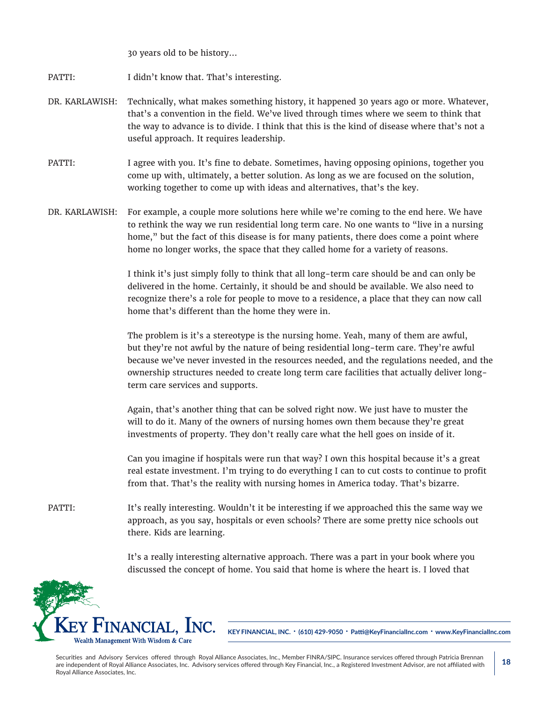30 years old to be history…

- PATTI: I didn't know that. That's interesting.
- DR. KARLAWISH: Technically, what makes something history, it happened 30 years ago or more. Whatever, that's a convention in the field. We've lived through times where we seem to think that the way to advance is to divide. I think that this is the kind of disease where that's not a useful approach. It requires leadership.
- PATTI: I agree with you. It's fine to debate. Sometimes, having opposing opinions, together you come up with, ultimately, a better solution. As long as we are focused on the solution, working together to come up with ideas and alternatives, that's the key.
- DR. KARLAWISH: For example, a couple more solutions here while we're coming to the end here. We have to rethink the way we run residential long term care. No one wants to "live in a nursing home," but the fact of this disease is for many patients, there does come a point where home no longer works, the space that they called home for a variety of reasons.

I think it's just simply folly to think that all long-term care should be and can only be delivered in the home. Certainly, it should be and should be available. We also need to recognize there's a role for people to move to a residence, a place that they can now call home that's different than the home they were in.

The problem is it's a stereotype is the nursing home. Yeah, many of them are awful, but they're not awful by the nature of being residential long-term care. They're awful because we've never invested in the resources needed, and the regulations needed, and the ownership structures needed to create long term care facilities that actually deliver longterm care services and supports.

Again, that's another thing that can be solved right now. We just have to muster the will to do it. Many of the owners of nursing homes own them because they're great investments of property. They don't really care what the hell goes on inside of it.

Can you imagine if hospitals were run that way? I own this hospital because it's a great real estate investment. I'm trying to do everything I can to cut costs to continue to profit from that. That's the reality with nursing homes in America today. That's bizarre.

PATTI: It's really interesting. Wouldn't it be interesting if we approached this the same way we approach, as you say, hospitals or even schools? There are some pretty nice schools out there. Kids are learning.

> It's a really interesting alternative approach. There was a part in your book where you discussed the concept of home. You said that home is where the heart is. I loved that



**KEY FINANCIAL, INC. • (610) 429-9050 • Patti@KeyFinancialInc.com • www.KeyFinancialInc.com**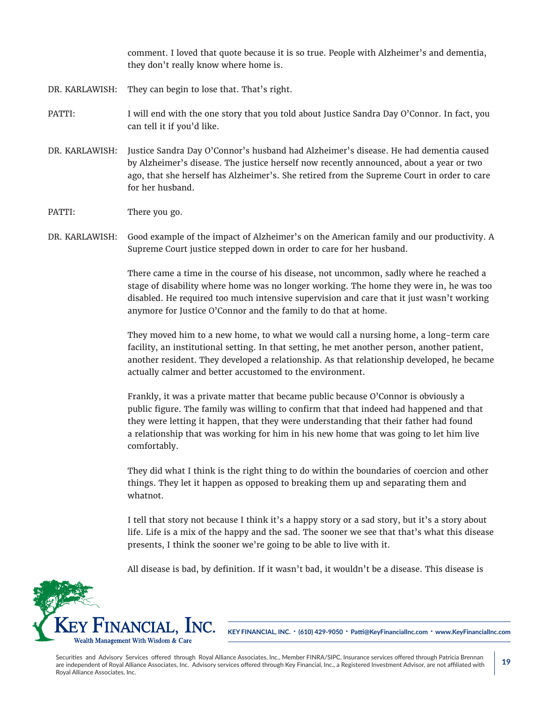comment. I loved that quote because it is so true. People with Alzheimer's and dementia, they don't really know where home is.

- DR. KARLAWISH: They can begin to lose that. That's right.
- PATTI: I will end with the one story that you told about Justice Sandra Day O'Connor. In fact, you can tell it if you'd like.
- DR. KARLAWISH: Justice Sandra Day O'Connor's husband had Alzheimer's disease. He had dementia caused by Alzheimer's disease. The justice herself now recently announced, about a year or two ago, that she herself has Alzheimer's. She retired from the Supreme Court in order to care for her husband.
- PATTI: There you go.
- DR. KARLAWISH: Good example of the impact of Alzheimer's on the American family and our productivity. A Supreme Court justice stepped down in order to care for her husband.

There came a time in the course of his disease, not uncommon, sadly where he reached a stage of disability where home was no longer working. The home they were in, he was too disabled. He required too much intensive supervision and care that it just wasn't working anymore for Justice O'Connor and the family to do that at home.

They moved him to a new home, to what we would call a nursing home, a long-term care facility, an institutional setting. In that setting, he met another person, another patient, another resident. They developed a relationship. As that relationship developed, he became actually calmer and better accustomed to the environment.

Frankly, it was a private matter that became public because O'Connor is obviously a public figure. The family was willing to confirm that that indeed had happened and that they were letting it happen, that they were understanding that their father had found a relationship that was working for him in his new home that was going to let him live comfortably.

They did what I think is the right thing to do within the boundaries of coercion and other things. They let it happen as opposed to breaking them up and separating them and whatnot.

I tell that story not because I think it's a happy story or a sad story, but it's a story about life. Life is a mix of the happy and the sad. The sooner we see that that's what this disease presents, I think the sooner we're going to be able to live with it.

All disease is bad, by definition. If it wasn't bad, it wouldn't be a disease. This disease is



**KEY FINANCIAL, INC. • (610) 429-9050 • Patti@KeyFinancialInc.com • www.KeyFinancialInc.com**